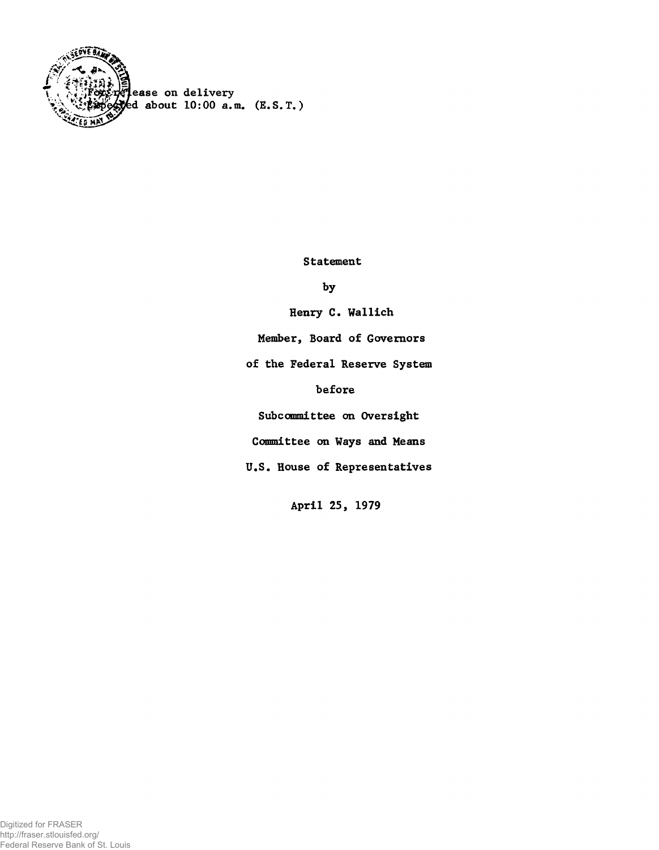

Statement

by

Henry C. Wallich

Member, Board of Governors

of the Federal Reserve System

before

Subcommittee on Oversight

Committee on Ways and Means

U.S. House of Representatives

April 25, 1979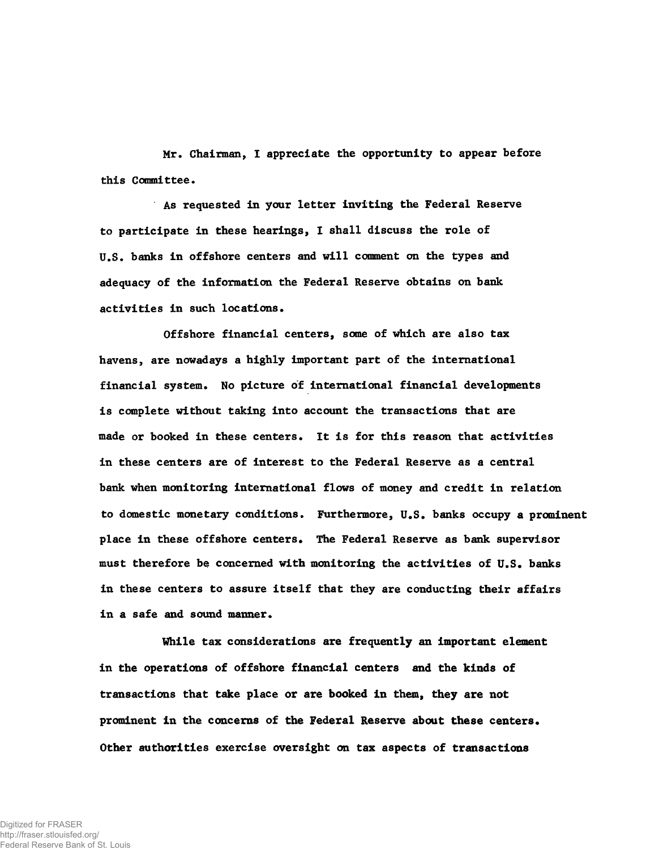Hr. Chairman, I appreciate the opportunity to appear before this Committee.

As requested in your letter inviting the Federal Reserve to participate in these hearings, 1 shall discuss the role of U.S. banks in offshore centers and will comment on the types and adequacy of the information the Federal Reserve obtains on bank activities in such locations.

Offshore financial centers, some of which are also tax havens, are nowadays a highly important part of the international financial system. No picture of international financial developments is complete without taking into account the transactions that are made or booked in these centers. It is for this reason that activities in these centers are of interest to the Federal Reserve as a central bank when monitoring international flows of money and credit in relation to domestic monetary conditions. Furthermore, U.S. banks occupy a prominent place in these offshore centers. The Federal Reserve as bank supervisor must therefore be concerned with monitoring the activities of U.S. banks in these centers to assure itself that they are conducting their affairs in a safe and sound manner.

While tax considerations are frequently an important element in the operations of offshore financial centers and the kinds of transactions that take place or are booked in them, they are not prominent in the concerns of the Federal Reserve about these centers. Other authorities exercise oversight on tax aspects of transactions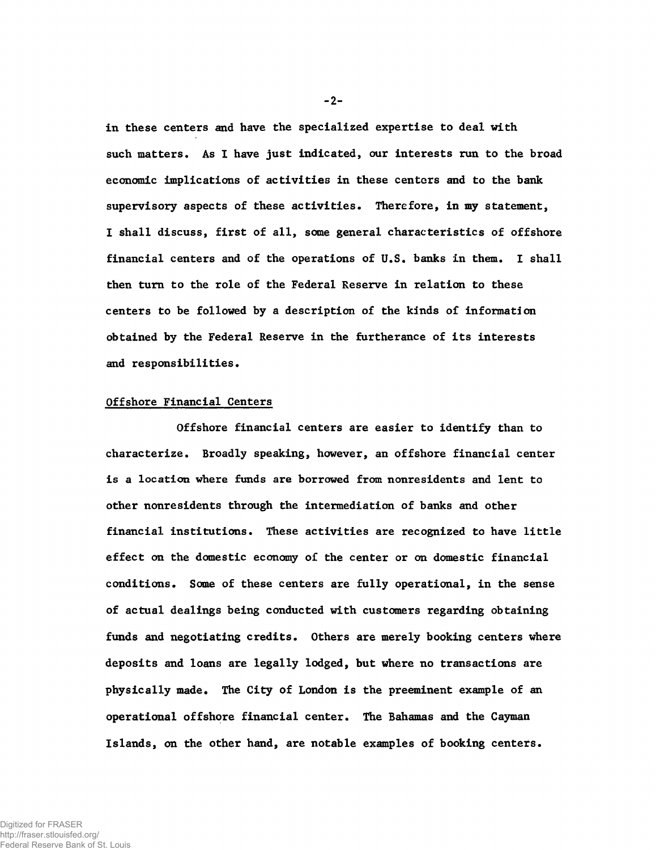in these centers and have the specialized expertise to deal with such matters. As I have just indicated, our interests run to the broad economic implications of activities in these centors and to the bank supervisory aspects of these activities. Therefore, in my statement, I shall discuss, first of all, some general characteristics of offshore financial centers and of the operations of U.S. banks in them. I shall then turn to the role of the Federal Reserve in relation to these centers to be followed by a description of the kinds of information obtained by the Federal Reserve in the furtherance of its interests and responsibilities.

## Offshore Financial Centers

Offshore financial centers are easier to identify than to characterize. Broadly speaking, however, an offshore financial center is a location where funds are borrowed from nonresidents and lent to other nonresidents through the intermediation of banks and other financial institutions. These activities are recognized to have little effect on the domestic economy of the center or on domestic financial conditions. Some of these centers are fully operational, in the sense of actual dealings being conducted with customers regarding obtaining funds and negotiating credits. Others are merely booking centers where deposits and loans are legally lodged, but where no transactions are physically made. The City of London is the preeminent example of an operational offshore financial center. The Bahamas and the Cayman Islands, on the other hand, are notable examples of booking centers.

**-2-**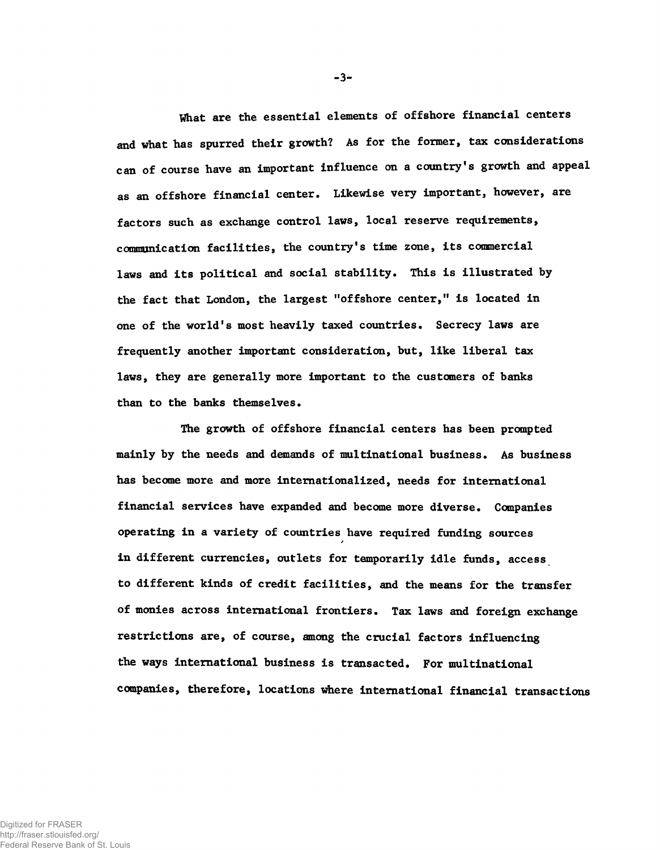What are the essential elements of offshore financial centers and what has spurred their growth? As for the former, tax considerations can of course have an important influence on a country's growth and appeal as an offshore financial center. Likewise very important, however, are factors such as exchange control laws, local reserve requirements, communication facilities, the country's time zone, its commercial laws and its political and social stability. This is illustrated by the fact that London, the largest "offshore center," is located in one of the world's most heavily taxed countries. Secrecy laws are frequently another important consideration, but, like liberal tax laws, they are generally more important to the customers of banks than to the banks themselves.

The growth of offshore financial centers has been prompted mainly by the needs and demands of multinational business. As business has become more and more internationalized, needs for international financial services have expanded and become more diverse. Companies operating in a variety of countries have required funding sources in different currencies, outlets for temporarily idle funds, access to different kinds of credit facilities, and the means for the transfer of monies across international frontiers. Tax laws and foreign exchange restrictions are, of course, among the crucial factors influencing the ways international business is transacted. For multinational companies, therefore, locations where international financial transactions

-3-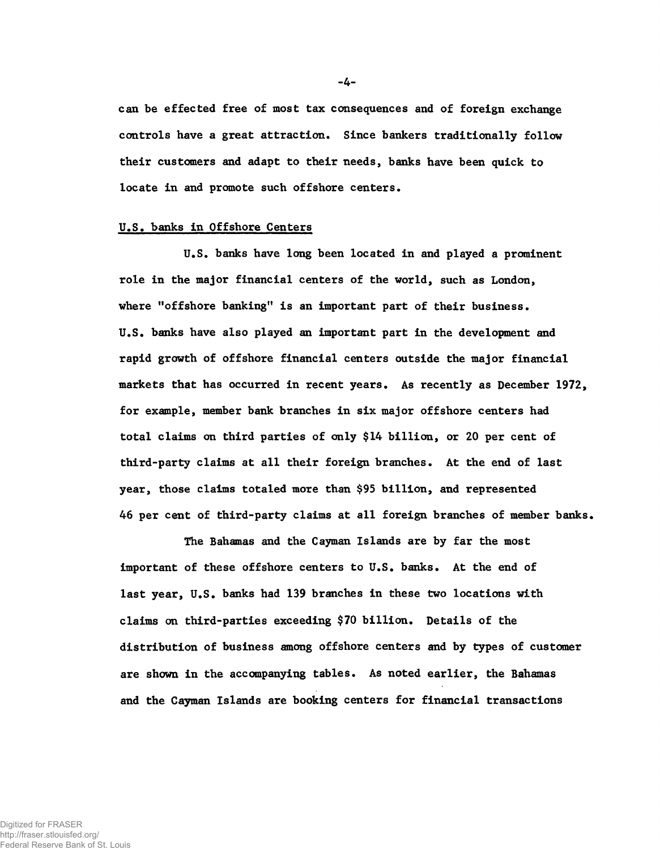can be effected free of most tax consequences and of foreign exchange controls have a great attraction. Since bankers traditionally follow their custcmers and adapt to their needs, banks have been quick to locate in and promote such offshore centers.

### U.S. banks in Offshore Centers

U.S. banks have long been located in and played a prominent role in the major financial centers of the world, such as London, where "offshore banking" is an important part of their business. U.S. banks have also played an important part in the development and rapid growth of offshore financial centers outside the major financial markets that has occurred in recent years. As recently as December 1972, for example, member bank branches in six major offshore centers had total claims on third parties of only \$14 billion, or 20 per cent of third-party claims at all their foreign branches. At the end of last year, those claims totaled more than \$95 billion, and represented 46 per cent of third-party claims at all foreign branches of member banks.

The Bahamas and the Cayman Islands are by far the most important of these offshore centers to U.S. banks. At the end of last year, U.S. banks had 139 branches in these two locations with claims on third-parties exceeding \$70 billion. Details of the distribution of business among offshore centers and by types of customer are shown in the accompanying tables. As noted earlier, the Bahamas and the Cayman Islands are booking centers for financial transactions

**-4-**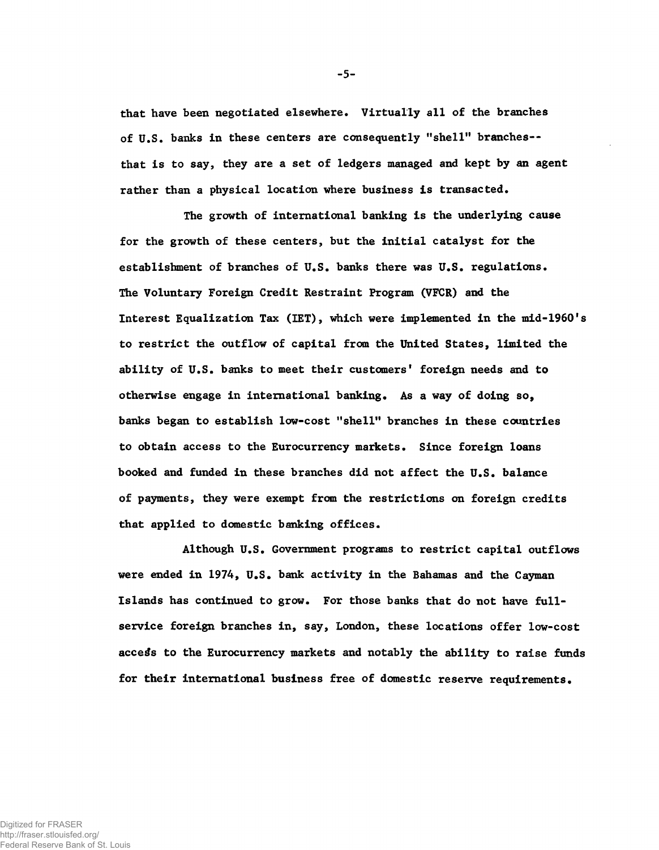that have been negotiated elsewhere. Virtually all of the branches of U.S. banks in these centers are consequently "shell" branches-that is to say, they are a set of ledgers managed and kept by an agent rather than a physical location where business is transacted.

The growth of international banking is the underlying cause for the growth of these centers, but the initial catalyst for the establishment of branches of U.S. banks there was U.S. regulations. The Voluntary Foreign Credit Restraint Program (VFCR) and the Interest Equalization Tax (IET), which were implemented in the mid-1960's to restrict the outflow of capital from the United States, limited the ability of U.S. banks to meet their customers' foreign needs and to otherwise engage in international banking. As a way of doing so, banks began to establish low-cost "shell" branches in these countries to obtain access to the Eurocurrency markets. Since foreign loans booked and funded in these branches did not affect the U.S. balance of payments, they were exempt from the restrictions on foreign credits that applied to domestic banking offices.

Although U.S. Government programs to restrict capital outflows were ended in 1974, U.S. bank activity in the Bahamas and the Cayman Islands has continued to grow. For those banks that do not have fullservice foreign branches in, say, London, these locations offer low-cost access to the Eurocurrency markets and notably the ability to raise funds for their international business free of domestic reserve requirements.

-5-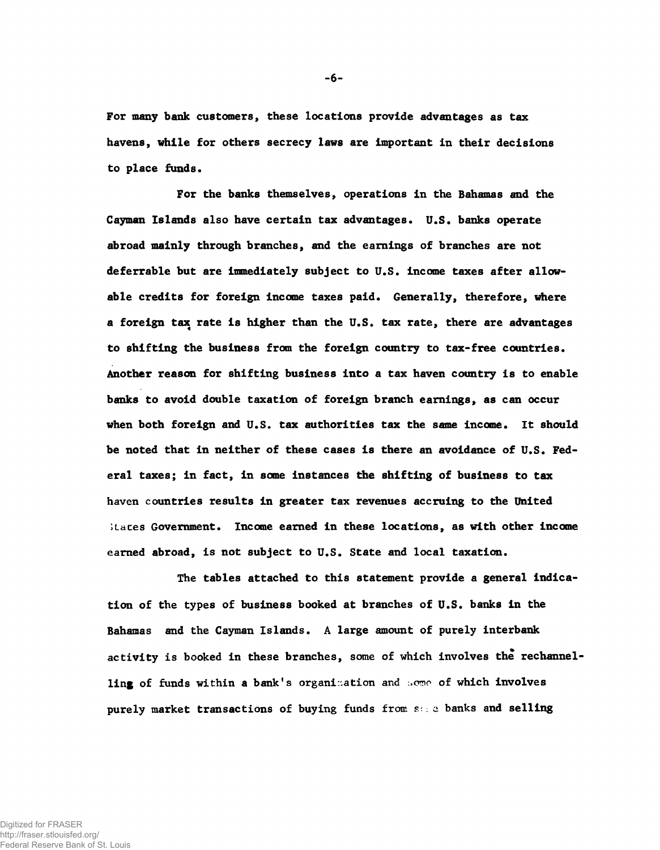For many bank customers, these locations provide advantages as tax havens, while for others secrecy laws are important in their decisions to place funds.

For the banks themselves, operations in the Bahamas and the Cayman Islands also have certain tax advantages. U.S. banks operate abroad mainly through branches, and the earnings of branches are not deferrable but are immediately subject to U.S. income taxes after allowable credits for foreign income taxes paid. Generally, therefore, where a foreign tax rate is higher than the U.S. tax rate, there are advantages to shifting the business from the foreign country to tax-free countries. Another reason for shifting business into a tax haven country is to enable banks to avoid double taxation of foreign branch earnings, as can occur when both foreign and U.S. tax authorities tax the same income. It should be noted that in neither of these cases is there an avoidance of U.S. Federal taxes; in fact, in some instances the shifting of business to tax haven countries results in greater tax revenues accruing to the United ;Laces Government. Income earned in these locations, as with other income earned abroad, is not subject to U.S. State and local taxation.

The tables attached to this statement provide a general indication of the types of business booked at branches of U.S. banks in the Bahamas and the Cayman Islands. A large amount of purely interbank activity is booked in these branches, some of which involves the rechannelling of funds within a bank's organization and some of which involves purely market transactions of buying funds from *s*.-.: a banks and selling

**-6-**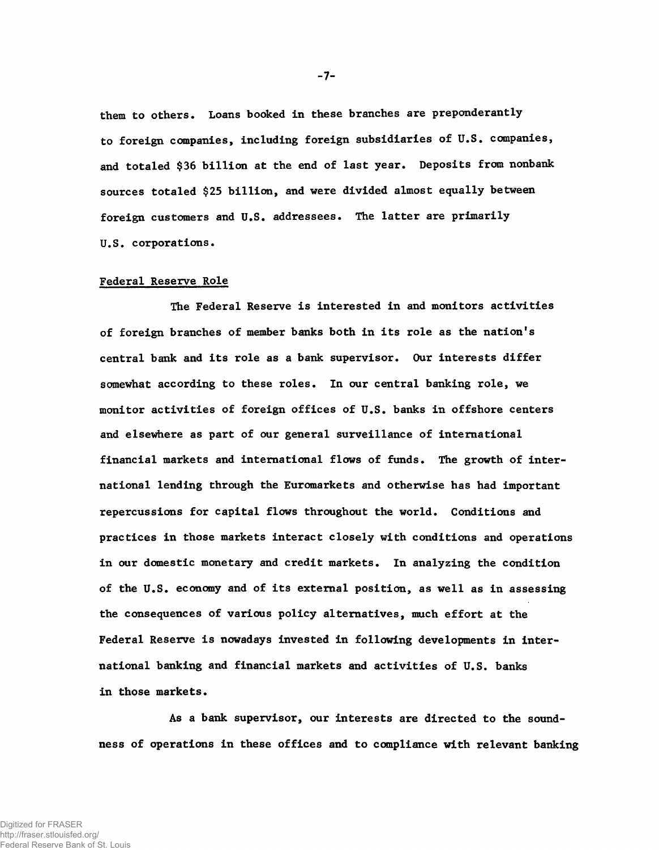them to others. Loans booked in these branches are preponderantly to foreign companies, including foreign subsidiaries of U.S. companies, and totaled \$36 billion at the end of last year. Deposits from nonbank sources totaled \$25 billion, and were divided almost equally between foreign customers and U.S. addressees. The latter are primarily U.S. corporations.

#### Federal Reserve Role

The Federal Reserve is interested in and monitors activities of foreign branches of member banks both in its role as the nation's central bank and its role as a bank supervisor. Our interests differ somewhat according to these roles. In our central banking role, we monitor activities of foreign offices of U.S. banks in offshore centers and elsewhere as part of our general surveillance of international financial markets and international flows of funds. The growth of international lending through the Euromarkets and otherwise has had important repercussions for capital flows throughout the world. Conditions and practices in those markets interact closely with conditions and operations in our domestic monetary and credit markets. In analyzing the condition of the U.S. economy and of its external position, as well as in assessing the consequences of various policy alternatives, much effort at the Federal Reserve is nowadays invested in following developments in international banking and financial markets and activities of U.S. banks in those markets.

As a bank supervisor, our interests are directed to the soundness of operations in these offices and to compliance with relevant banking

**-7-**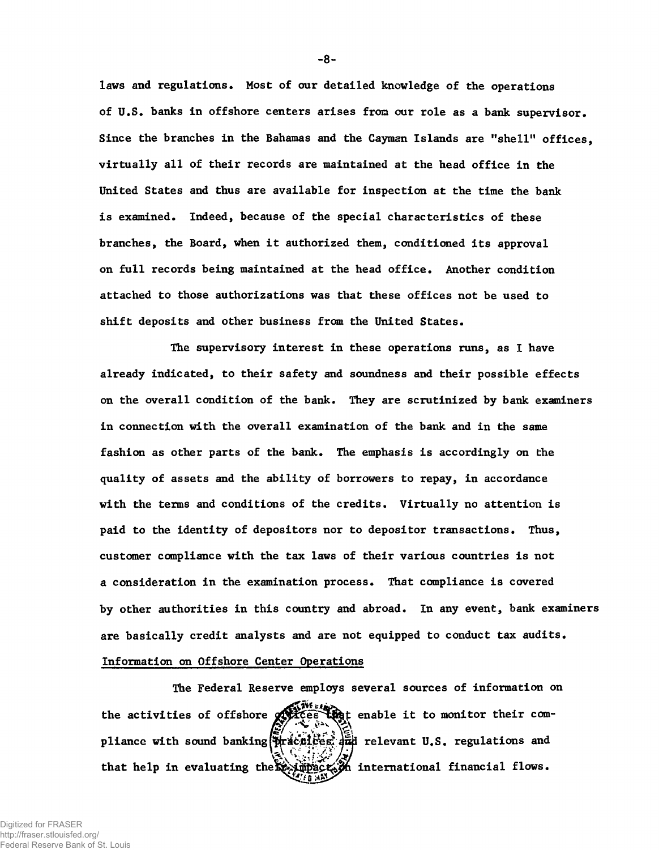laws and regulations. Most of our detailed knowledge of the operations of U.S. banks in offshore centers arises from our role as a bank supervisor. Since the branches in the Bahamas and the Cayman Islands are "shell" offices, virtually all of their records are maintained at the head office in the United States and thus are available for inspection at the time the bank is examined. Indeed, because of the special characteristics of these branches, the Board, when it authorized them, conditioned its approval on full records being maintained at the head office. Another condition attached to those authorizations was that these offices not be used to shift deposits and other business from the United States.

The supervisory interest in these operations runs, as I have already indicated, to their safety and soundness and their possible effects on the overall condition of the bank. They are scrutinized by bank examiners in connection with the overall examination of the bank and in the same fashion as other parts of the bank. The emphasis is accordingly on the quality of assets and the ability of borrowers to repay, in accordance with the terms and conditions of the credits. Virtually no attention is paid to the identity of depositors nor to depositor transactions. Thus, customer compliance with the tax laws of their various countries is not a consideration in the examination process. That compliance is covered by other authorities in this country and abroad. In any event, bank examiners are basically credit analysts and are not equipped to conduct tax audits. Information on Offshore Center Operations

The Federal Reserve employs several sources of information on the activities of offshore  $\mathbb{R}$  is the enable it to monitor their com-*/gf .* **" " V** pliance with sound banking( $\frac{1}{2}$ ractices,  $\frac{1}{2}$ ud relevant U.S. regulations and that help in evaluating the reductor international financial flows.

**-8-**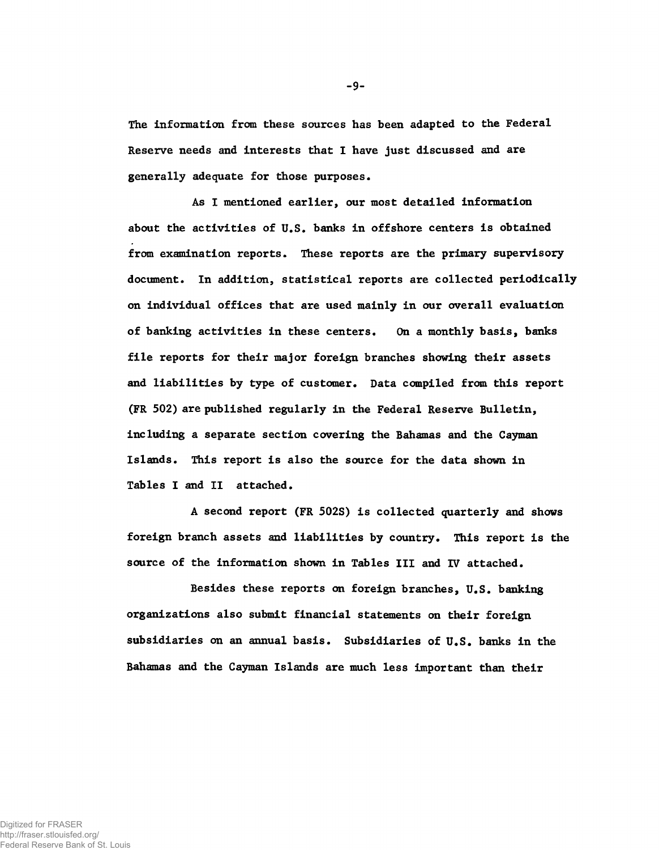The information from these sources has been adapted to the Federal Reserve needs and interests that I have just discussed and are generally adequate for those purposes.

As I mentioned earlier, our most detailed information about the activities of U.S. banks in offshore centers is obtained from examination reports. These reports are the primary supervisory document. In addition, statistical reports are collected periodically on individual offices that are used mainly in our overall evaluation of banking activities in these centers. On a monthly basis, banks file reports for their major foreign branches showing their assets and liabilities by type of customer. Data compiled from this report (FR 502) are published regularly in the Federal Reserve Bulletin, including a separate section covering the Bahamas and the Cayman Islands. This report is also the source for the data shown in Tables I and II attached.

A second report (FR 502S) is collected quarterly and shows foreign branch assets and liabilities by country. This report is the source of the information shown in Tables III and IV attached.

Besides these reports on foreign branches, U.S. banking organizations also submit financial statements on their foreign subsidiaries on an annual basis. Subsidiaries of U.S. banks in the Bahamas and the Cayman Islands are much less important than their

-9-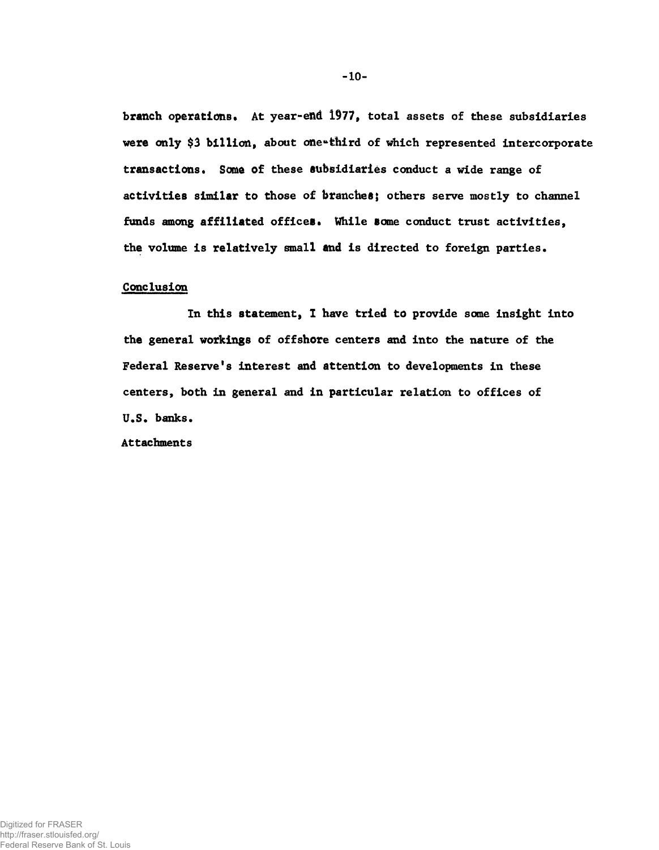branch operations. At year-end 1977, total assets of these subsidiaries were only \$3 billion, about one"third of which represented intercorporate transactions. Some of these subsidiaries conduct a wide range of activities similar to those of branches; others serve mostly to channel funds among affiliated offices. While some conduct trust activities, the volume is relatively small and is directed to foreign parties.

#### Conclusion

In this statement, I have tried to provide some insight into the general workings of offshore centers and into the nature of the Federal Reserve's interest and attention to developments in these centers, both in general and in particular relation to offices of U.S. banks.

Attachments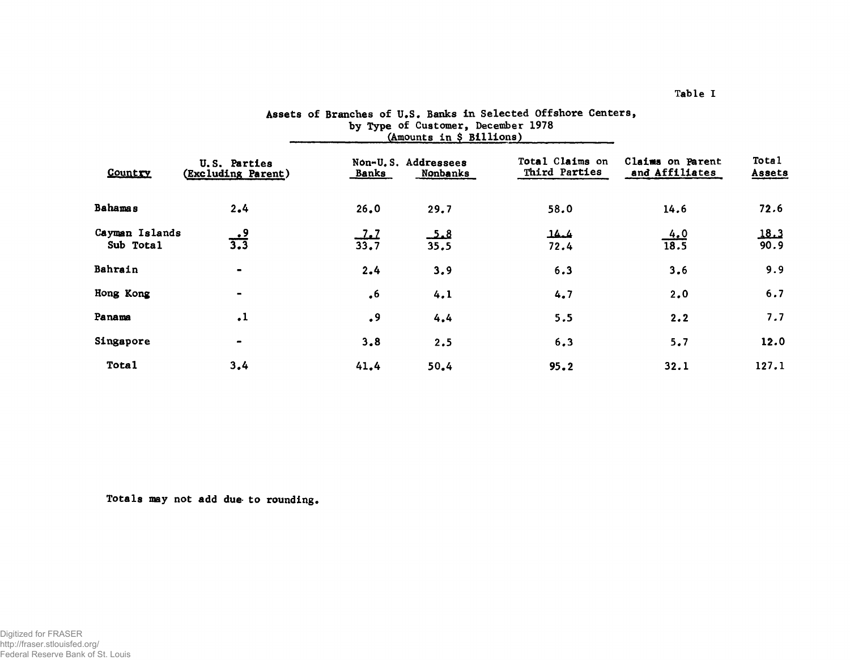|                             |                                    |                          | (Amounts in a billions) |                                  |                                    |                 |
|-----------------------------|------------------------------------|--------------------------|-------------------------|----------------------------------|------------------------------------|-----------------|
| Country                     | U.S. Parties<br>(Excluding Parent) | Non-U.S.<br><u>Banks</u> | Addressees<br>Nonbanks  | Total Claims on<br>Third Parties | Claims on Parent<br>and Affiliates | Total<br>Assets |
| <b>Bahamas</b>              | 2.4                                | 26.0                     | 29.7                    | 58.0                             | 14.6                               | 72.6            |
| Cayman Islands<br>Sub Total | $\frac{.9}{3.3}$                   | 1.1<br>33.7              | <u>ھىك</u><br>35.5      | كمكل<br>72.4                     | $\frac{4.0}{18.5}$                 | 18.3<br>90.9    |
| Bahrain                     |                                    | 2.4                      | 3,9                     | 6.3                              | 3.6                                | 9.9             |
| Hong Kong                   | $\blacksquare$                     | $\cdot$ 6                | 4.1                     | 4.7                              | 2,0                                | 6.7             |
| Panama                      | $\cdot$ 1                          | $\cdot$ 9                | 4.4                     | 5.5                              | 2.2                                | 7.7             |
| Singapore                   |                                    | 3,8                      | 2.5                     | 6, 3                             | 5.7                                | 12.0            |
| <b>Total</b>                | 3,4                                | 41.4                     | 50.4                    | 95.2                             | 32.1                               | 127.1           |

# Assets of Branches of U.S. Banks in Selected Offshore Centers, by Type of Customer, December 1978  $\qquad \qquad \text{(Amounts in § Billions)}$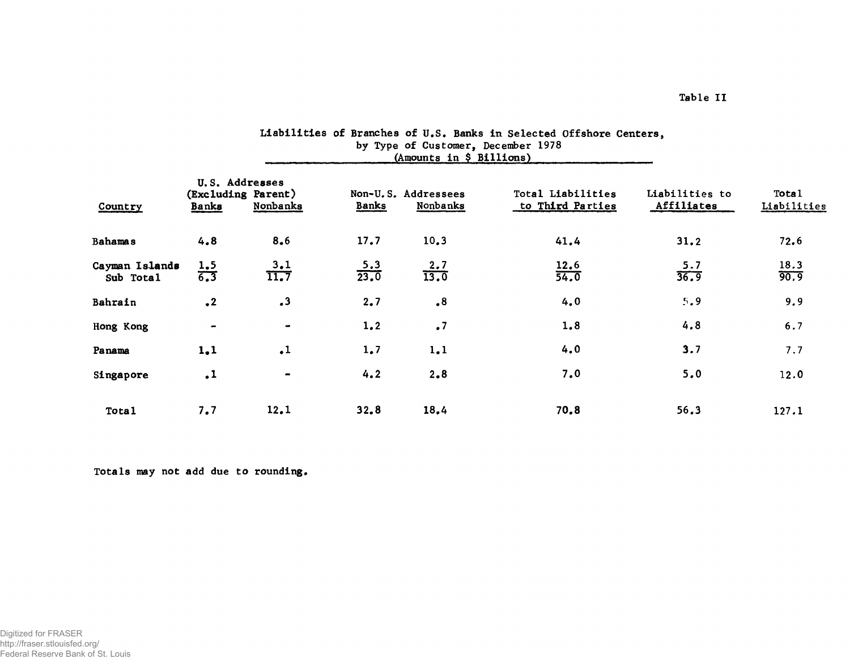| Country                     | U.S. Addresses<br>(Excluding Parent)<br>Nonbanks<br><b>Banks</b> |                              | <b>Banks</b>       | Non-U.S. Addressees<br>Nonbanks | Total Liabilities<br>to Third Parties | Liabilities to<br>Affiliates | <b>Total</b><br>Liabilities |
|-----------------------------|------------------------------------------------------------------|------------------------------|--------------------|---------------------------------|---------------------------------------|------------------------------|-----------------------------|
| <b>Bahamas</b>              | 4.8                                                              | 8.6                          | 17.7               | 10.3                            | 41.4                                  | 31.2                         | 72.6                        |
| Cayman Islands<br>Sub Total | $\frac{1.5}{6.3}$                                                | 3.1<br>$\overline{11.7}$     | $\frac{5.3}{23.0}$ | $\frac{2.7}{13.0}$              | $\frac{12.6}{54.0}$                   | $\frac{5.7}{36.9}$           | $\frac{18.3}{90.9}$         |
| Bahrain                     | $\cdot^2$                                                        | $\cdot$ <sup>3</sup>         | 2.7                | $\cdot$ <sup>8</sup>            | 4.0                                   | 5,9                          | 9.9                         |
| Hong Kong                   | $\blacksquare$                                                   | $\blacksquare$               | 1, 2               | $\cdot$ 7                       | 1.8                                   | 4.8                          | 6.7                         |
| Panama                      | 1,1                                                              | $\cdot$ 1                    | 1.7                | 1.1                             | 4.0                                   | 3.7                          | 7.7                         |
| Singapore                   | $\cdot$ 1                                                        | $\qquad \qquad \blacksquare$ | 4.2                | 2.8                             | 7.0                                   | 5.0                          | 12.0                        |
| Tota <sub>1</sub>           | 7.7                                                              | 12.1                         | 32.8               | 18.4                            | 70.8                                  | 56.3                         | 127.1                       |

# Liabilities of Branches of U.S. Banks in Selected Offshore Centers, by Type of Customer, December 1978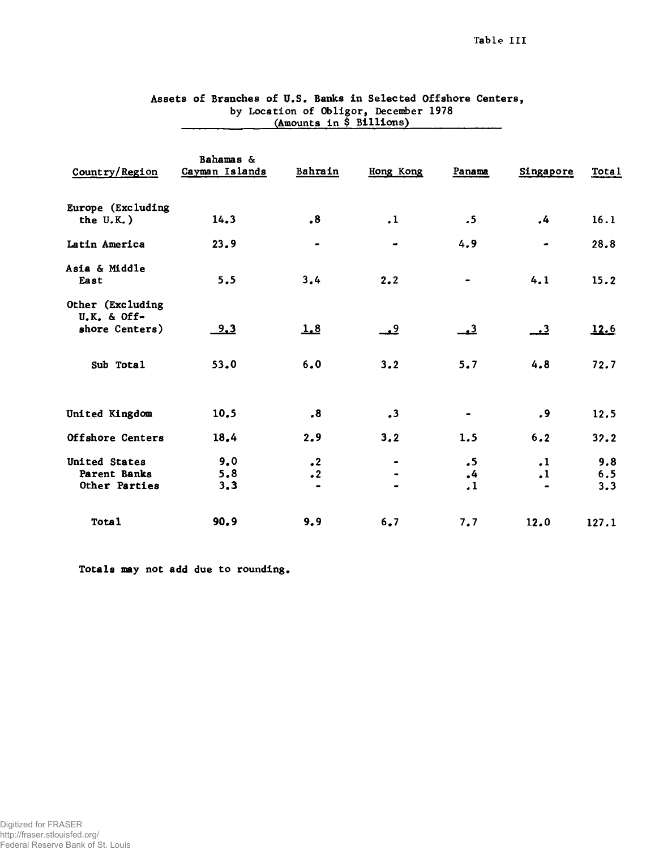|                                                     | VUMONILS III Y DILLIONO     |                                   |                                           |                                                |                                          |                   |
|-----------------------------------------------------|-----------------------------|-----------------------------------|-------------------------------------------|------------------------------------------------|------------------------------------------|-------------------|
| Country/Region                                      | Bahamas &<br>Cayman Islands | Bahrain                           | Hong Kong                                 | Panama                                         | Singapore                                | <b>Total</b>      |
| Europe (Excluding<br>the $U.K.$ )                   | 14.3                        | $\cdot$ <sup>8</sup>              | $\cdot$ 1                                 | .5                                             | .4                                       | 16.1              |
| Latin America                                       | 23.9                        |                                   |                                           | 4.9                                            | ۰                                        | 28.8              |
| Asia & Middle<br>East                               | 5.5                         | 3,4                               | 2.2                                       |                                                | 4.1                                      | 15.2              |
| Other (Excluding<br>$U.K.$ & Off-<br>shore Centers) | <u>9.3</u>                  | 1.8                               | <u>ي</u>                                  | $\rightarrow$ <sup>3</sup>                     | <u>3.</u>                                | 12.6              |
| Sub Total                                           | 53.0                        | 6.0                               | 3.2                                       | 5.7                                            | 4,8                                      | 72.7              |
| United Kingdom                                      | 10.5                        | $\ddot{\bm{8}}$                   | $\cdot$ <sup>3</sup>                      | $\bullet$                                      | . 9                                      | 12.5              |
| Offshore Centers                                    | 18.4                        | 2.9                               | 3.2                                       | 1.5                                            | 6.2                                      | 32.2              |
| United States<br>Parent Banks<br>Other Parties      | 9.0<br>5.8<br>3,3           | $\cdot$ <sup>2</sup><br>$\cdot$ 2 | $\qquad \qquad \blacksquare$<br>$\bullet$ | $\cdot$ 5<br>$\cdot$ 4<br>$\cdot$ <sup>1</sup> | $\cdot$ 1<br>$\cdot$ 1<br>$\blacksquare$ | 9.8<br>6.5<br>3.3 |
| <b>Total</b>                                        | 90.9                        | 9.9                               | 6.7                                       | 7.7                                            | 12.0                                     | 127.1             |

# Assets of Branches of U.S. Banks in Selected Offshore Centers, by Location of Obligor, December 1978  $\frac{(\text{Amounts in } \$ \text{ Billions})}{\frac{(\text{Amounts in } \$ \text{ Billions})}{\frac{(\text{Amounts in } \$ \text{ Billions})}{\frac{(\text{time of } \$ \text{ Billions})}{\frac{(\text{time of } \$ \text{ Billions})}{\frac{(\text{time of } \$ \text{ Billions})}{\frac{(\text{time of } \$ \text{ Billions})}{\frac{(\text{time of } \$ \text{ Billions})}{\frac{(\text{time of } \$ \text{ Billions})}{\frac{(\text{time of } \$ \text{ Billions})}{\frac{(\text{time of } \$ \text{ Billions})}{\frac{(\text{time of } \$ \text{ Billions})}{\$